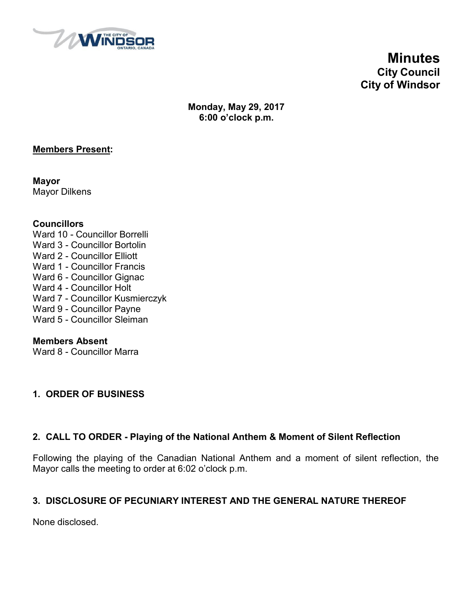

**Minutes City Council City of Windsor**

**Monday, May 29, 2017 6:00 o'clock p.m.**

## **Members Present:**

**Mayor** Mayor Dilkens

#### **Councillors**

- Ward 10 Councillor Borrelli Ward 3 - Councillor Bortolin Ward 2 - Councillor Elliott
- Ward 1 Councillor Francis
- Ward 6 Councillor Gignac
- Ward 4 Councillor Holt
- Ward 7 Councillor Kusmierczyk
- Ward 9 Councillor Payne
- Ward 5 Councillor Sleiman

### **Members Absent**

Ward 8 - Councillor Marra

# **1. ORDER OF BUSINESS**

# **2. CALL TO ORDER - Playing of the National Anthem & Moment of Silent Reflection**

Following the playing of the Canadian National Anthem and a moment of silent reflection, the Mayor calls the meeting to order at 6:02 o'clock p.m.

# **3. DISCLOSURE OF PECUNIARY INTEREST AND THE GENERAL NATURE THEREOF**

None disclosed.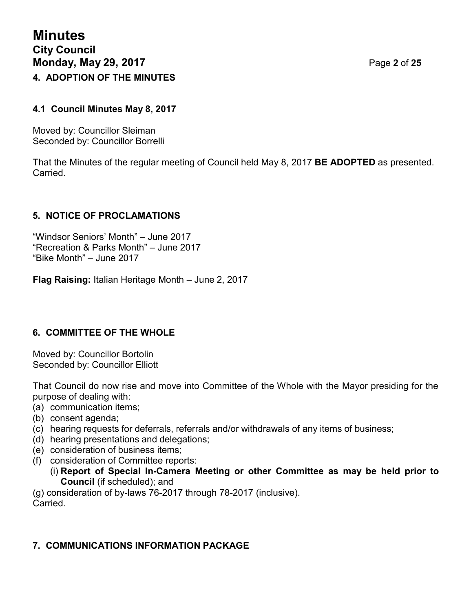## **4.1 Council Minutes May 8, 2017**

Moved by: Councillor Sleiman Seconded by: Councillor Borrelli

That the Minutes of the regular meeting of Council held May 8, 2017 **BE ADOPTED** as presented. Carried.

# **5. NOTICE OF PROCLAMATIONS**

"Windsor Seniors' Month" – June 2017 "Recreation & Parks Month" – June 2017 "Bike Month" – June 2017

**Flag Raising:** Italian Heritage Month – June 2, 2017

# **6. COMMITTEE OF THE WHOLE**

Moved by: Councillor Bortolin Seconded by: Councillor Elliott

That Council do now rise and move into Committee of the Whole with the Mayor presiding for the purpose of dealing with:

- (a) communication items;
- (b) consent agenda;
- (c) hearing requests for deferrals, referrals and/or withdrawals of any items of business;
- (d) hearing presentations and delegations;
- (e) consideration of business items;
- (f) consideration of Committee reports:
	- (i) **Report of Special In-Camera Meeting or other Committee as may be held prior to Council** (if scheduled); and

(g) consideration of by-laws 76-2017 through 78-2017 (inclusive). Carried.

# **7. COMMUNICATIONS INFORMATION PACKAGE**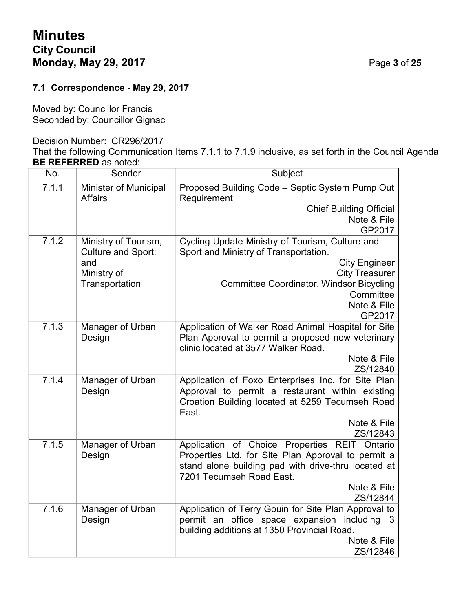# **Minutes City Council Monday, May 29, 2017** Page **3** of **25**

# **7.1 Correspondence - May 29, 2017**

Moved by: Councillor Francis Seconded by: Councillor Gignac

#### Decision Number: CR296/2017

That the following Communication Items 7.1.1 to 7.1.9 inclusive, as set forth in the Council Agenda **BE REFERRED** as noted:

| No.   | Sender                                  | Subject                                                                         |  |
|-------|-----------------------------------------|---------------------------------------------------------------------------------|--|
| 7.1.1 | Minister of Municipal<br><b>Affairs</b> | Proposed Building Code - Septic System Pump Out<br>Requirement                  |  |
|       |                                         | <b>Chief Building Official</b><br>Note & File<br>GP2017                         |  |
| 7.1.2 | Ministry of Tourism,                    | Cycling Update Ministry of Tourism, Culture and                                 |  |
|       | Culture and Sport;                      | Sport and Ministry of Transportation.                                           |  |
|       | and                                     | <b>City Engineer</b>                                                            |  |
|       | Ministry of                             | <b>City Treasurer</b>                                                           |  |
|       | Transportation                          | <b>Committee Coordinator, Windsor Bicycling</b>                                 |  |
|       |                                         | Committee                                                                       |  |
|       |                                         | Note & File                                                                     |  |
| 7.1.3 | Manager of Urban                        | GP2017<br>Application of Walker Road Animal Hospital for Site                   |  |
|       | Design                                  | Plan Approval to permit a proposed new veterinary                               |  |
|       |                                         | clinic located at 3577 Walker Road.                                             |  |
|       |                                         | Note & File                                                                     |  |
|       |                                         | ZS/12840                                                                        |  |
| 7.1.4 | Manager of Urban                        | Application of Foxo Enterprises Inc. for Site Plan                              |  |
|       | Design                                  | Approval to permit a restaurant within existing                                 |  |
|       |                                         | Croation Building located at 5259 Tecumseh Road<br>East.                        |  |
|       |                                         | Note & File                                                                     |  |
|       |                                         | ZS/12843                                                                        |  |
| 7.1.5 | Manager of Urban                        | Application of Choice Properties REIT Ontario                                   |  |
|       | Design                                  | Properties Ltd. for Site Plan Approval to permit a                              |  |
|       |                                         | stand alone building pad with drive-thru located at<br>7201 Tecumseh Road East. |  |
|       |                                         | Note & File                                                                     |  |
|       |                                         | ZS/12844                                                                        |  |
| 7.1.6 | Manager of Urban                        | Application of Terry Gouin for Site Plan Approval to                            |  |
|       | Design                                  | permit an office space expansion including<br>3                                 |  |
|       |                                         | building additions at 1350 Provincial Road.                                     |  |
|       |                                         | Note & File<br>ZS/12846                                                         |  |
|       |                                         |                                                                                 |  |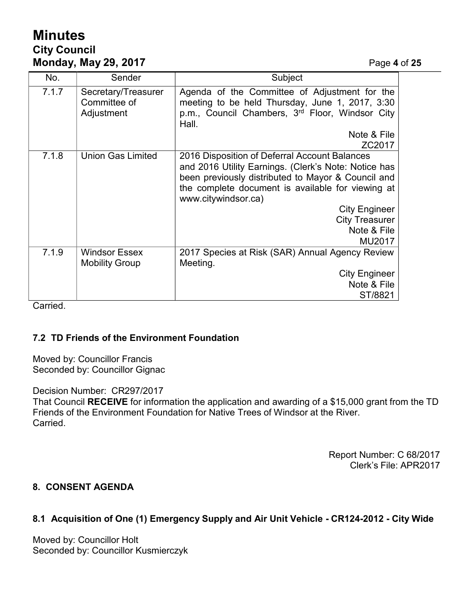# **Minutes City Council Monday, May 29, 2017** Page **4** of **25**

| No.   | Sender                                            | Subject                                                                                                                                                                                                                                                         |  |
|-------|---------------------------------------------------|-----------------------------------------------------------------------------------------------------------------------------------------------------------------------------------------------------------------------------------------------------------------|--|
| 7.1.7 | Secretary/Treasurer<br>Committee of<br>Adjustment | Agenda of the Committee of Adjustment for the<br>meeting to be held Thursday, June 1, 2017, 3:30<br>p.m., Council Chambers, 3rd Floor, Windsor City<br>Hall.                                                                                                    |  |
|       |                                                   | Note & File<br>ZC2017                                                                                                                                                                                                                                           |  |
| 7.1.8 | <b>Union Gas Limited</b>                          | 2016 Disposition of Deferral Account Balances<br>and 2016 Utility Earnings. (Clerk's Note: Notice has<br>been previously distributed to Mayor & Council and<br>the complete document is available for viewing at<br>www.citywindsor.ca)<br><b>City Engineer</b> |  |
|       |                                                   | <b>City Treasurer</b><br>Note & File                                                                                                                                                                                                                            |  |
|       |                                                   | MU2017                                                                                                                                                                                                                                                          |  |
| 7.1.9 | <b>Windsor Essex</b><br><b>Mobility Group</b>     | 2017 Species at Risk (SAR) Annual Agency Review<br>Meeting.                                                                                                                                                                                                     |  |
|       |                                                   | <b>City Engineer</b>                                                                                                                                                                                                                                            |  |
|       |                                                   | Note & File                                                                                                                                                                                                                                                     |  |
|       |                                                   | ST/8821                                                                                                                                                                                                                                                         |  |

Carried.

# **7.2 TD Friends of the Environment Foundation**

Moved by: Councillor Francis Seconded by: Councillor Gignac

Decision Number: CR297/2017

That Council **RECEIVE** for information the application and awarding of a \$15,000 grant from the TD Friends of the Environment Foundation for Native Trees of Windsor at the River. Carried.

> Report Number: C 68/2017 Clerk's File: APR2017

#### **8. CONSENT AGENDA**

# **8.1 Acquisition of One (1) Emergency Supply and Air Unit Vehicle - CR124-2012 - City Wide**

Moved by: Councillor Holt Seconded by: Councillor Kusmierczyk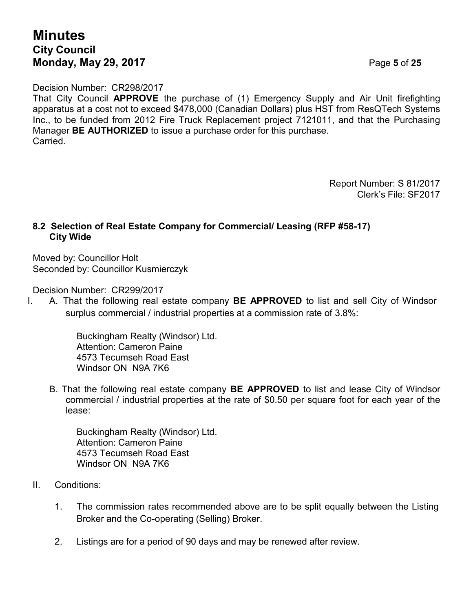# **Minutes City Council Monday, May 29, 2017** Page **5** of **25**

Decision Number: CR298/2017

That City Council **APPROVE** the purchase of (1) Emergency Supply and Air Unit firefighting apparatus at a cost not to exceed \$478,000 (Canadian Dollars) plus HST from ResQTech Systems Inc., to be funded from 2012 Fire Truck Replacement project 7121011, and that the Purchasing Manager **BE AUTHORIZED** to issue a purchase order for this purchase. Carried.

> Report Number: S 81/2017 Clerk's File: SF2017

## **8.2 Selection of Real Estate Company for Commercial/ Leasing (RFP #58-17) City Wide**

Moved by: Councillor Holt Seconded by: Councillor Kusmierczyk

Decision Number: CR299/2017

I. A. That the following real estate company **BE APPROVED** to list and sell City of Windsor surplus commercial / industrial properties at a commission rate of 3.8%:

> Buckingham Realty (Windsor) Ltd. Attention: Cameron Paine 4573 Tecumseh Road East Windsor ON N9A 7K6

B. That the following real estate company **BE APPROVED** to list and lease City of Windsor commercial / industrial properties at the rate of \$0.50 per square foot for each year of the lease:

Buckingham Realty (Windsor) Ltd. Attention: Cameron Paine 4573 Tecumseh Road East Windsor ON N9A 7K6

- II. Conditions:
	- 1. The commission rates recommended above are to be split equally between the Listing Broker and the Co-operating (Selling) Broker.
	- 2. Listings are for a period of 90 days and may be renewed after review.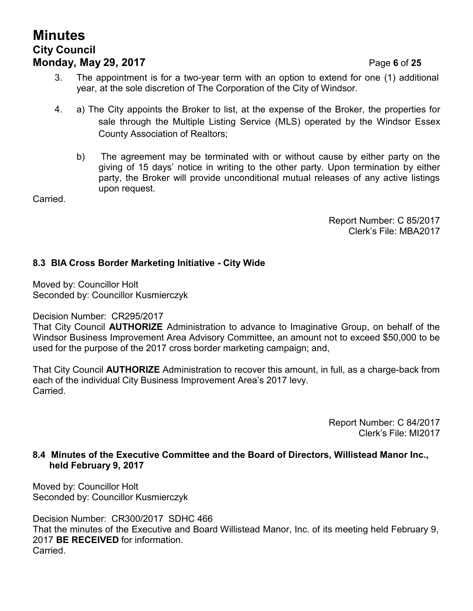# **Minutes City Council Monday, May 29, 2017** Page **6** of **25**

3. The appointment is for a two-year term with an option to extend for one (1) additional year, at the sole discretion of The Corporation of the City of Windsor.

- 4. a) The City appoints the Broker to list, at the expense of the Broker, the properties for sale through the Multiple Listing Service (MLS) operated by the Windsor Essex County Association of Realtors;
	- b) The agreement may be terminated with or without cause by either party on the giving of 15 days' notice in writing to the other party. Upon termination by either party, the Broker will provide unconditional mutual releases of any active listings upon request.

Carried.

Report Number: C 85/2017 Clerk's File: MBA2017

# **8.3 BIA Cross Border Marketing Initiative - City Wide**

Moved by: Councillor Holt Seconded by: Councillor Kusmierczyk

Decision Number: CR295/2017

That City Council **AUTHORIZE** Administration to advance to Imaginative Group, on behalf of the Windsor Business Improvement Area Advisory Committee, an amount not to exceed \$50,000 to be used for the purpose of the 2017 cross border marketing campaign; and,

That City Council **AUTHORIZE** Administration to recover this amount, in full, as a charge-back from each of the individual City Business Improvement Area's 2017 levy. Carried.

> Report Number: C 84/2017 Clerk's File: MI2017

#### **8.4 Minutes of the Executive Committee and the Board of Directors, Willistead Manor Inc., held February 9, 2017**

Moved by: Councillor Holt Seconded by: Councillor Kusmierczyk

Decision Number: CR300/2017 SDHC 466 That the minutes of the Executive and Board Willistead Manor, Inc. of its meeting held February 9, 2017 **BE RECEIVED** for information. Carried.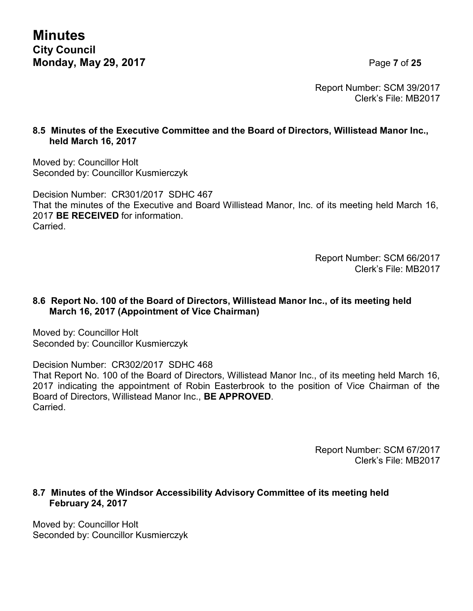**Minutes City Council Monday, May 29, 2017** Page **7** of **25**

Report Number: SCM 39/2017 Clerk's File: MB2017

### **8.5 Minutes of the Executive Committee and the Board of Directors, Willistead Manor Inc., held March 16, 2017**

Moved by: Councillor Holt Seconded by: Councillor Kusmierczyk

Decision Number: CR301/2017 SDHC 467 That the minutes of the Executive and Board Willistead Manor, Inc. of its meeting held March 16, 2017 **BE RECEIVED** for information. Carried.

> Report Number: SCM 66/2017 Clerk's File: MB2017

## **8.6 Report No. 100 of the Board of Directors, Willistead Manor Inc., of its meeting held March 16, 2017 (Appointment of Vice Chairman)**

Moved by: Councillor Holt Seconded by: Councillor Kusmierczyk

Decision Number: CR302/2017 SDHC 468

That Report No. 100 of the Board of Directors, Willistead Manor Inc., of its meeting held March 16, 2017 indicating the appointment of Robin Easterbrook to the position of Vice Chairman of the Board of Directors, Willistead Manor Inc., **BE APPROVED**. Carried.

> Report Number: SCM 67/2017 Clerk's File: MB2017

## **8.7 Minutes of the Windsor Accessibility Advisory Committee of its meeting held February 24, 2017**

Moved by: Councillor Holt Seconded by: Councillor Kusmierczyk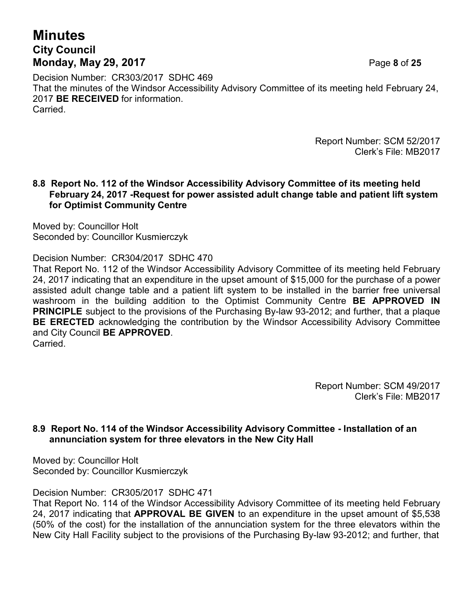# **Minutes City Council Monday, May 29, 2017** Page **8** of **25**

Decision Number: CR303/2017 SDHC 469 That the minutes of the Windsor Accessibility Advisory Committee of its meeting held February 24, 2017 **BE RECEIVED** for information. Carried.

> Report Number: SCM 52/2017 Clerk's File: MB2017

#### **8.8 Report No. 112 of the Windsor Accessibility Advisory Committee of its meeting held February 24, 2017 -Request for power assisted adult change table and patient lift system for Optimist Community Centre**

Moved by: Councillor Holt Seconded by: Councillor Kusmierczyk

Decision Number: CR304/2017 SDHC 470

That Report No. 112 of the Windsor Accessibility Advisory Committee of its meeting held February 24, 2017 indicating that an expenditure in the upset amount of \$15,000 for the purchase of a power assisted adult change table and a patient lift system to be installed in the barrier free universal washroom in the building addition to the Optimist Community Centre **BE APPROVED IN PRINCIPLE** subject to the provisions of the Purchasing By-law 93-2012; and further, that a plaque **BE ERECTED** acknowledging the contribution by the Windsor Accessibility Advisory Committee and City Council **BE APPROVED**. Carried.

> Report Number: SCM 49/2017 Clerk's File: MB2017

## **8.9 Report No. 114 of the Windsor Accessibility Advisory Committee - Installation of an annunciation system for three elevators in the New City Hall**

Moved by: Councillor Holt Seconded by: Councillor Kusmierczyk

Decision Number: CR305/2017 SDHC 471

That Report No. 114 of the Windsor Accessibility Advisory Committee of its meeting held February 24, 2017 indicating that **APPROVAL BE GIVEN** to an expenditure in the upset amount of \$5,538 (50% of the cost) for the installation of the annunciation system for the three elevators within the New City Hall Facility subject to the provisions of the Purchasing By-law 93-2012; and further, that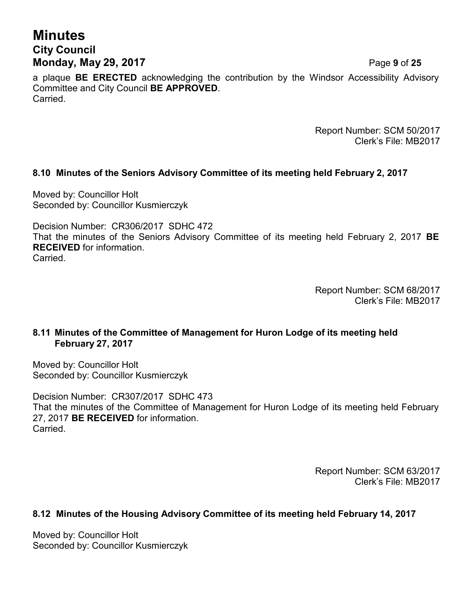# **Minutes City Council Monday, May 29, 2017** Page **9** of **25**

a plaque **BE ERECTED** acknowledging the contribution by the Windsor Accessibility Advisory Committee and City Council **BE APPROVED**. Carried.

> Report Number: SCM 50/2017 Clerk's File: MB2017

## **8.10 Minutes of the Seniors Advisory Committee of its meeting held February 2, 2017**

Moved by: Councillor Holt Seconded by: Councillor Kusmierczyk

Decision Number: CR306/2017 SDHC 472 That the minutes of the Seniors Advisory Committee of its meeting held February 2, 2017 **BE RECEIVED** for information. Carried.

> Report Number: SCM 68/2017 Clerk's File: MB2017

#### **8.11 Minutes of the Committee of Management for Huron Lodge of its meeting held February 27, 2017**

Moved by: Councillor Holt Seconded by: Councillor Kusmierczyk

Decision Number: CR307/2017 SDHC 473 That the minutes of the Committee of Management for Huron Lodge of its meeting held February 27, 2017 **BE RECEIVED** for information. **Carried** 

> Report Number: SCM 63/2017 Clerk's File: MB2017

#### **8.12 Minutes of the Housing Advisory Committee of its meeting held February 14, 2017**

Moved by: Councillor Holt Seconded by: Councillor Kusmierczyk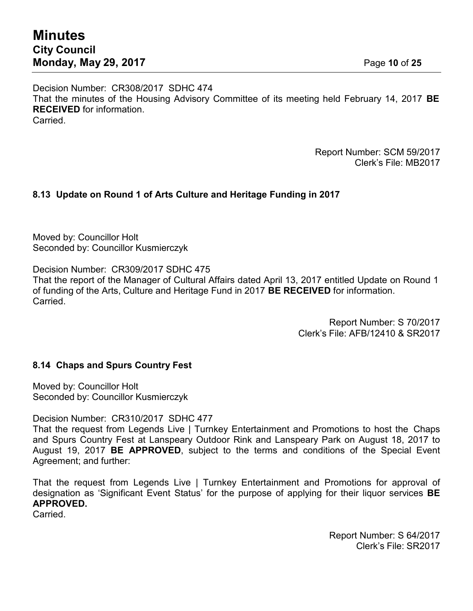Decision Number: CR308/2017 SDHC 474 That the minutes of the Housing Advisory Committee of its meeting held February 14, 2017 **BE RECEIVED** for information. **Carried** 

> Report Number: SCM 59/2017 Clerk's File: MB2017

# **8.13 Update on Round 1 of Arts Culture and Heritage Funding in 2017**

Moved by: Councillor Holt Seconded by: Councillor Kusmierczyk

Decision Number: CR309/2017 SDHC 475

That the report of the Manager of Cultural Affairs dated April 13, 2017 entitled Update on Round 1 of funding of the Arts, Culture and Heritage Fund in 2017 **BE RECEIVED** for information. **Carried** 

> Report Number: S 70/2017 Clerk's File: AFB/12410 & SR2017

#### **8.14 Chaps and Spurs Country Fest**

Moved by: Councillor Holt Seconded by: Councillor Kusmierczyk

Decision Number: CR310/2017 SDHC 477

That the request from Legends Live | Turnkey Entertainment and Promotions to host the Chaps and Spurs Country Fest at Lanspeary Outdoor Rink and Lanspeary Park on August 18, 2017 to August 19, 2017 **BE APPROVED**, subject to the terms and conditions of the Special Event Agreement; and further:

That the request from Legends Live | Turnkey Entertainment and Promotions for approval of designation as 'Significant Event Status' for the purpose of applying for their liquor services **BE APPROVED.**

**Carried** 

Report Number: S 64/2017 Clerk's File: SR2017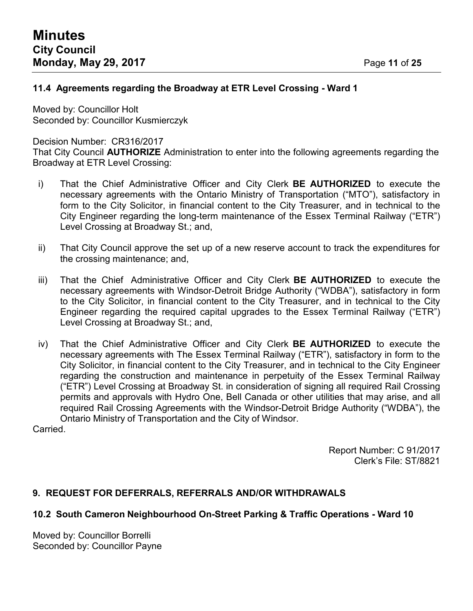## **11.4 Agreements regarding the Broadway at ETR Level Crossing - Ward 1**

Moved by: Councillor Holt Seconded by: Councillor Kusmierczyk

Decision Number: CR316/2017

That City Council **AUTHORIZE** Administration to enter into the following agreements regarding the Broadway at ETR Level Crossing:

- i) That the Chief Administrative Officer and City Clerk **BE AUTHORIZED** to execute the necessary agreements with the Ontario Ministry of Transportation ("MTO"), satisfactory in form to the City Solicitor, in financial content to the City Treasurer, and in technical to the City Engineer regarding the long-term maintenance of the Essex Terminal Railway ("ETR") Level Crossing at Broadway St.; and,
- ii) That City Council approve the set up of a new reserve account to track the expenditures for the crossing maintenance; and,
- iii) That the Chief Administrative Officer and City Clerk **BE AUTHORIZED** to execute the necessary agreements with Windsor-Detroit Bridge Authority ("WDBA"), satisfactory in form to the City Solicitor, in financial content to the City Treasurer, and in technical to the City Engineer regarding the required capital upgrades to the Essex Terminal Railway ("ETR") Level Crossing at Broadway St.; and,
- iv) That the Chief Administrative Officer and City Clerk **BE AUTHORIZED** to execute the necessary agreements with The Essex Terminal Railway ("ETR"), satisfactory in form to the City Solicitor, in financial content to the City Treasurer, and in technical to the City Engineer regarding the construction and maintenance in perpetuity of the Essex Terminal Railway ("ETR") Level Crossing at Broadway St. in consideration of signing all required Rail Crossing permits and approvals with Hydro One, Bell Canada or other utilities that may arise, and all required Rail Crossing Agreements with the Windsor-Detroit Bridge Authority ("WDBA"), the Ontario Ministry of Transportation and the City of Windsor.

Carried.

Report Number: C 91/2017 Clerk's File: ST/8821

#### **9. REQUEST FOR DEFERRALS, REFERRALS AND/OR WITHDRAWALS**

#### **10.2 South Cameron Neighbourhood On-Street Parking & Traffic Operations - Ward 10**

Moved by: Councillor Borrelli Seconded by: Councillor Payne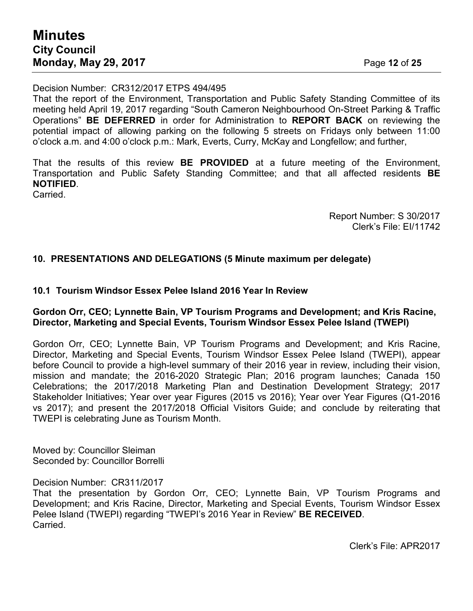Decision Number: CR312/2017 ETPS 494/495

That the report of the Environment, Transportation and Public Safety Standing Committee of its meeting held April 19, 2017 regarding "South Cameron Neighbourhood On-Street Parking & Traffic Operations" **BE DEFERRED** in order for Administration to **REPORT BACK** on reviewing the potential impact of allowing parking on the following 5 streets on Fridays only between 11:00 o'clock a.m. and 4:00 o'clock p.m.: Mark, Everts, Curry, McKay and Longfellow; and further,

That the results of this review **BE PROVIDED** at a future meeting of the Environment, Transportation and Public Safety Standing Committee; and that all affected residents **BE NOTIFIED**.

Carried.

Report Number: S 30/2017 Clerk's File: EI/11742

#### **10. PRESENTATIONS AND DELEGATIONS (5 Minute maximum per delegate)**

#### **10.1 Tourism Windsor Essex Pelee Island 2016 Year In Review**

#### **Gordon Orr, CEO; Lynnette Bain, VP Tourism Programs and Development; and Kris Racine, Director, Marketing and Special Events, Tourism Windsor Essex Pelee Island (TWEPI)**

Gordon Orr, CEO; Lynnette Bain, VP Tourism Programs and Development; and Kris Racine, Director, Marketing and Special Events, Tourism Windsor Essex Pelee Island (TWEPI), appear before Council to provide a high-level summary of their 2016 year in review, including their vision, mission and mandate; the 2016-2020 Strategic Plan; 2016 program launches; Canada 150 Celebrations; the 2017/2018 Marketing Plan and Destination Development Strategy; 2017 Stakeholder Initiatives; Year over year Figures (2015 vs 2016); Year over Year Figures (Q1-2016 vs 2017); and present the 2017/2018 Official Visitors Guide; and conclude by reiterating that TWEPI is celebrating June as Tourism Month.

Moved by: Councillor Sleiman Seconded by: Councillor Borrelli

Decision Number: CR311/2017

That the presentation by Gordon Orr, CEO; Lynnette Bain, VP Tourism Programs and Development; and Kris Racine, Director, Marketing and Special Events, Tourism Windsor Essex Pelee Island (TWEPI) regarding "TWEPI's 2016 Year in Review" **BE RECEIVED**. Carried.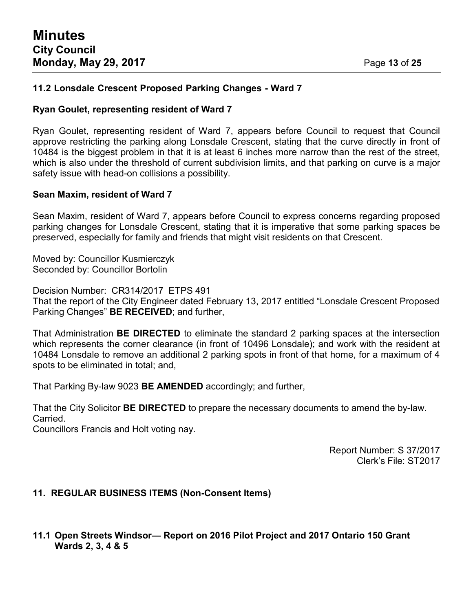## **11.2 Lonsdale Crescent Proposed Parking Changes - Ward 7**

#### **Ryan Goulet, representing resident of Ward 7**

Ryan Goulet, representing resident of Ward 7, appears before Council to request that Council approve restricting the parking along Lonsdale Crescent, stating that the curve directly in front of 10484 is the biggest problem in that it is at least 6 inches more narrow than the rest of the street, which is also under the threshold of current subdivision limits, and that parking on curve is a major safety issue with head-on collisions a possibility.

#### **Sean Maxim, resident of Ward 7**

Sean Maxim, resident of Ward 7, appears before Council to express concerns regarding proposed parking changes for Lonsdale Crescent, stating that it is imperative that some parking spaces be preserved, especially for family and friends that might visit residents on that Crescent.

Moved by: Councillor Kusmierczyk Seconded by: Councillor Bortolin

Decision Number: CR314/2017 ETPS 491 That the report of the City Engineer dated February 13, 2017 entitled "Lonsdale Crescent Proposed Parking Changes" **BE RECEIVED**; and further,

That Administration **BE DIRECTED** to eliminate the standard 2 parking spaces at the intersection which represents the corner clearance (in front of 10496 Lonsdale); and work with the resident at 10484 Lonsdale to remove an additional 2 parking spots in front of that home, for a maximum of 4 spots to be eliminated in total; and,

That Parking By-law 9023 **BE AMENDED** accordingly; and further,

That the City Solicitor **BE DIRECTED** to prepare the necessary documents to amend the by-law. Carried.

Councillors Francis and Holt voting nay.

Report Number: S 37/2017 Clerk's File: ST2017

#### **11. REGULAR BUSINESS ITEMS (Non-Consent Items)**

**11.1 Open Streets Windsor— Report on 2016 Pilot Project and 2017 Ontario 150 Grant Wards 2, 3, 4 & 5**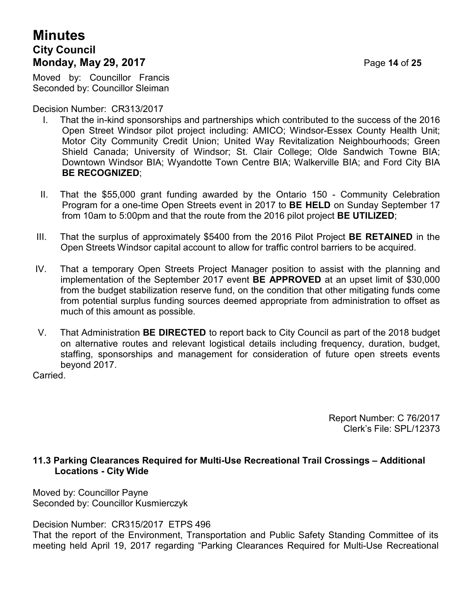# **Minutes City Council Monday, May 29, 2017** Page **14** of **25**

Moved by: Councillor Francis Seconded by: Councillor Sleiman

Decision Number: CR313/2017

- I. That the in-kind sponsorships and partnerships which contributed to the success of the 2016 Open Street Windsor pilot project including: AMICO; Windsor-Essex County Health Unit; Motor City Community Credit Union; United Way Revitalization Neighbourhoods; Green Shield Canada; University of Windsor; St. Clair College; Olde Sandwich Towne BIA; Downtown Windsor BIA; Wyandotte Town Centre BIA; Walkerville BIA; and Ford City BIA **BE RECOGNIZED**;
- II. That the \$55,000 grant funding awarded by the Ontario 150 Community Celebration Program for a one-time Open Streets event in 2017 to **BE HELD** on Sunday September 17 from 10am to 5:00pm and that the route from the 2016 pilot project **BE UTILIZED**;
- III. That the surplus of approximately \$5400 from the 2016 Pilot Project **BE RETAINED** in the Open Streets Windsor capital account to allow for traffic control barriers to be acquired.
- IV. That a temporary Open Streets Project Manager position to assist with the planning and implementation of the September 2017 event **BE APPROVED** at an upset limit of \$30,000 from the budget stabilization reserve fund, on the condition that other mitigating funds come from potential surplus funding sources deemed appropriate from administration to offset as much of this amount as possible.
- V. That Administration **BE DIRECTED** to report back to City Council as part of the 2018 budget on alternative routes and relevant logistical details including frequency, duration, budget, staffing, sponsorships and management for consideration of future open streets events beyond 2017.

**Carried** 

Report Number: C 76/2017 Clerk's File: SPL/12373

#### **11.3 Parking Clearances Required for Multi-Use Recreational Trail Crossings – Additional Locations - City Wide**

Moved by: Councillor Payne Seconded by: Councillor Kusmierczyk

Decision Number: CR315/2017 ETPS 496

That the report of the Environment, Transportation and Public Safety Standing Committee of its meeting held April 19, 2017 regarding "Parking Clearances Required for Multi-Use Recreational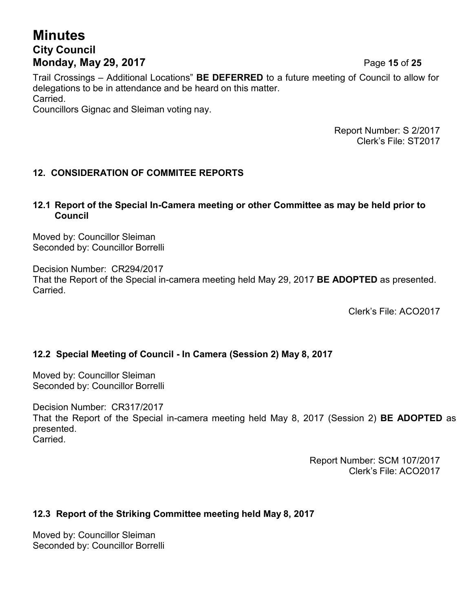# **Minutes City Council Monday, May 29, 2017** Page **15** of **25**

Trail Crossings – Additional Locations" **BE DEFERRED** to a future meeting of Council to allow for delegations to be in attendance and be heard on this matter. Carried. Councillors Gignac and Sleiman voting nay.

> Report Number: S 2/2017 Clerk's File: ST2017

# **12. CONSIDERATION OF COMMITEE REPORTS**

#### **12.1 Report of the Special In-Camera meeting or other Committee as may be held prior to Council**

Moved by: Councillor Sleiman Seconded by: Councillor Borrelli

Decision Number: CR294/2017 That the Report of the Special in-camera meeting held May 29, 2017 **BE ADOPTED** as presented. Carried.

Clerk's File: ACO2017

# **12.2 Special Meeting of Council - In Camera (Session 2) May 8, 2017**

Moved by: Councillor Sleiman Seconded by: Councillor Borrelli

Decision Number: CR317/2017 That the Report of the Special in-camera meeting held May 8, 2017 (Session 2) **BE ADOPTED** as presented. Carried.

> Report Number: SCM 107/2017 Clerk's File: ACO2017

#### **12.3 Report of the Striking Committee meeting held May 8, 2017**

Moved by: Councillor Sleiman Seconded by: Councillor Borrelli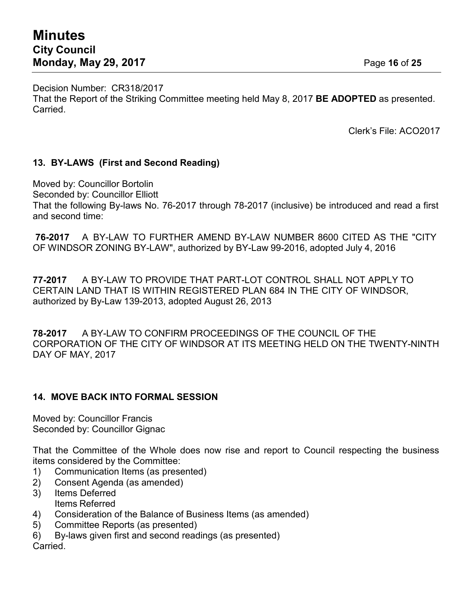Decision Number: CR318/2017 That the Report of the Striking Committee meeting held May 8, 2017 **BE ADOPTED** as presented. Carried.

Clerk's File: ACO2017

#### **13. BY-LAWS (First and Second Reading)**

Moved by: Councillor Bortolin Seconded by: Councillor Elliott That the following By-laws No. 76-2017 through 78-2017 (inclusive) be introduced and read a first and second time:

**76-2017** A BY-LAW TO FURTHER AMEND BY-LAW NUMBER 8600 CITED AS THE "CITY OF WINDSOR ZONING BY-LAW", authorized by BY-Law 99-2016, adopted July 4, 2016

**77-2017** A BY-LAW TO PROVIDE THAT PART-LOT CONTROL SHALL NOT APPLY TO CERTAIN LAND THAT IS WITHIN REGISTERED PLAN 684 IN THE CITY OF WINDSOR, authorized by By-Law 139-2013, adopted August 26, 2013

**78-2017** A BY-LAW TO CONFIRM PROCEEDINGS OF THE COUNCIL OF THE CORPORATION OF THE CITY OF WINDSOR AT ITS MEETING HELD ON THE TWENTY-NINTH DAY OF MAY, 2017

#### **14. MOVE BACK INTO FORMAL SESSION**

Moved by: Councillor Francis Seconded by: Councillor Gignac

That the Committee of the Whole does now rise and report to Council respecting the business items considered by the Committee:

- 1) Communication Items (as presented)
- 2) Consent Agenda (as amended)
- 3) Items Deferred Items Referred
- 4) Consideration of the Balance of Business Items (as amended)
- 5) Committee Reports (as presented)
- 6) By-laws given first and second readings (as presented)

Carried.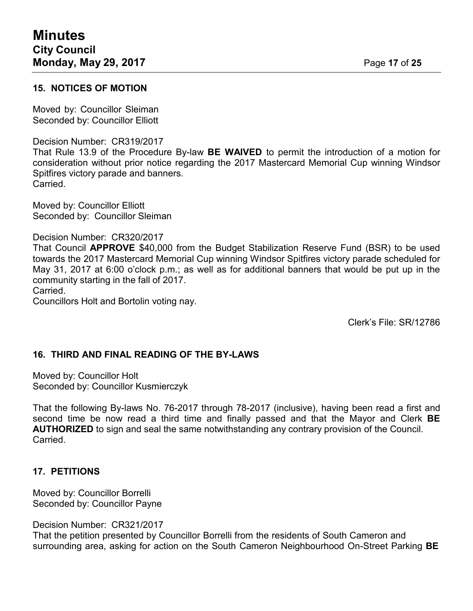#### **15. NOTICES OF MOTION**

Moved by: Councillor Sleiman Seconded by: Councillor Elliott

#### Decision Number: CR319/2017

That Rule 13.9 of the Procedure By-law **BE WAIVED** to permit the introduction of a motion for consideration without prior notice regarding the 2017 Mastercard Memorial Cup winning Windsor Spitfires victory parade and banners. Carried.

Moved by: Councillor Elliott Seconded by: Councillor Sleiman

#### Decision Number: CR320/2017

That Council **APPROVE** \$40,000 from the Budget Stabilization Reserve Fund (BSR) to be used towards the 2017 Mastercard Memorial Cup winning Windsor Spitfires victory parade scheduled for May 31, 2017 at 6:00 o'clock p.m.; as well as for additional banners that would be put up in the community starting in the fall of 2017.

Carried.

Councillors Holt and Bortolin voting nay.

Clerk's File: SR/12786

#### **16. THIRD AND FINAL READING OF THE BY-LAWS**

Moved by: Councillor Holt Seconded by: Councillor Kusmierczyk

That the following By-laws No. 76-2017 through 78-2017 (inclusive), having been read a first and second time be now read a third time and finally passed and that the Mayor and Clerk **BE AUTHORIZED** to sign and seal the same notwithstanding any contrary provision of the Council. Carried.

#### **17. PETITIONS**

Moved by: Councillor Borrelli Seconded by: Councillor Payne

Decision Number: CR321/2017

That the petition presented by Councillor Borrelli from the residents of South Cameron and surrounding area, asking for action on the South Cameron Neighbourhood On-Street Parking **BE**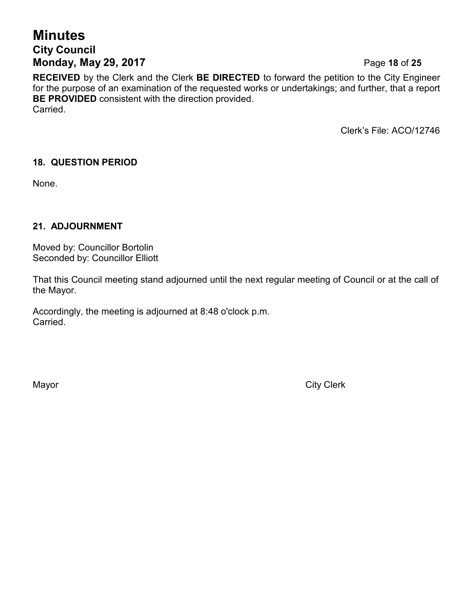# **Minutes City Council Monday, May 29, 2017** Page **18** of **25**

**RECEIVED** by the Clerk and the Clerk **BE DIRECTED** to forward the petition to the City Engineer for the purpose of an examination of the requested works or undertakings; and further, that a report **BE PROVIDED** consistent with the direction provided. Carried.

Clerk's File: ACO/12746

# **18. QUESTION PERIOD**

None.

# **21. ADJOURNMENT**

Moved by: Councillor Bortolin Seconded by: Councillor Elliott

That this Council meeting stand adjourned until the next regular meeting of Council or at the call of the Mayor.

Accordingly, the meeting is adjourned at 8:48 o'clock p.m. Carried.

Mayor **City Clerk**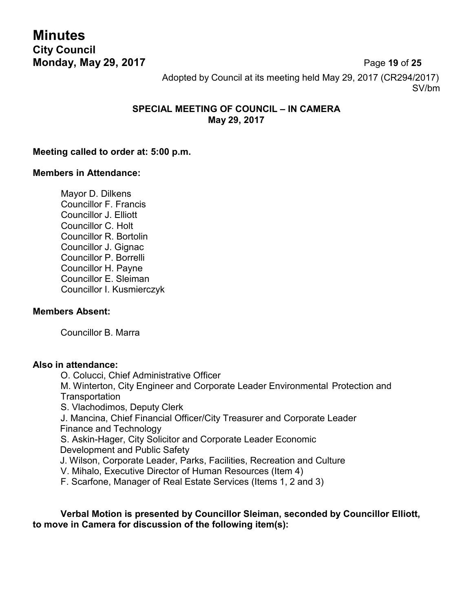**Minutes City Council Monday, May 29, 2017** Page **19** of **25**

Adopted by Council at its meeting held May 29, 2017 (CR294/2017) SV/bm

## **SPECIAL MEETING OF COUNCIL – IN CAMERA May 29, 2017**

### **Meeting called to order at: 5:00 p.m.**

#### **Members in Attendance:**

Mayor D. Dilkens Councillor F. Francis Councillor J. Elliott Councillor C. Holt Councillor R. Bortolin Councillor J. Gignac Councillor P. Borrelli Councillor H. Payne Councillor E. Sleiman Councillor I. Kusmierczyk

#### **Members Absent:**

Councillor B. Marra

#### **Also in attendance:**

O. Colucci, Chief Administrative Officer

M. Winterton, City Engineer and Corporate Leader Environmental Protection and **Transportation** 

S. Vlachodimos, Deputy Clerk

J. Mancina, Chief Financial Officer/City Treasurer and Corporate Leader Finance and Technology

S. Askin-Hager, City Solicitor and Corporate Leader Economic Development and Public Safety

J. Wilson, Corporate Leader, Parks, Facilities, Recreation and Culture

V. Mihalo, Executive Director of Human Resources (Item 4)

F. Scarfone, Manager of Real Estate Services (Items 1, 2 and 3)

**Verbal Motion is presented by Councillor Sleiman, seconded by Councillor Elliott, to move in Camera for discussion of the following item(s):**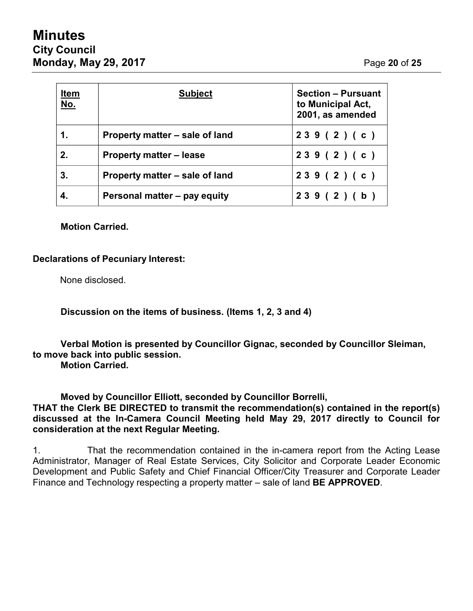# **Minutes City Council Monday, May 29, 2017** Page **20** of **25**

| <u>Item</u><br><u>No.</u> | <b>Subject</b>                 | <b>Section - Pursuant</b><br>to Municipal Act,<br>2001, as amended |
|---------------------------|--------------------------------|--------------------------------------------------------------------|
| $\mathbf 1$ .             | Property matter – sale of land | 239(2)(c)                                                          |
| 2.                        | <b>Property matter – lease</b> | 239(2)(c)                                                          |
| 3.                        | Property matter – sale of land | 239(2)(c)                                                          |
|                           | Personal matter - pay equity   | 239(2)(b)                                                          |

#### **Motion Carried.**

## **Declarations of Pecuniary Interest:**

None disclosed.

**Discussion on the items of business. (Items 1, 2, 3 and 4)**

**Verbal Motion is presented by Councillor Gignac, seconded by Councillor Sleiman, to move back into public session.**

**Motion Carried.**

**Moved by Councillor Elliott, seconded by Councillor Borrelli,**

**THAT the Clerk BE DIRECTED to transmit the recommendation(s) contained in the report(s) discussed at the In-Camera Council Meeting held May 29, 2017 directly to Council for consideration at the next Regular Meeting.**

1. That the recommendation contained in the in-camera report from the Acting Lease Administrator, Manager of Real Estate Services, City Solicitor and Corporate Leader Economic Development and Public Safety and Chief Financial Officer/City Treasurer and Corporate Leader Finance and Technology respecting a property matter – sale of land **BE APPROVED**.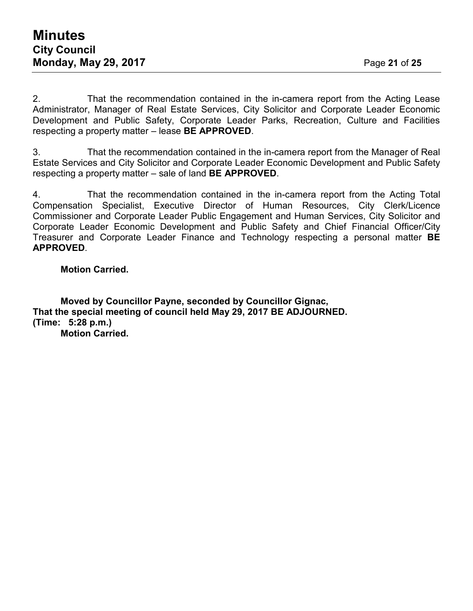2. That the recommendation contained in the in-camera report from the Acting Lease Administrator, Manager of Real Estate Services, City Solicitor and Corporate Leader Economic Development and Public Safety, Corporate Leader Parks, Recreation, Culture and Facilities respecting a property matter – lease **BE APPROVED**.

3. That the recommendation contained in the in-camera report from the Manager of Real Estate Services and City Solicitor and Corporate Leader Economic Development and Public Safety respecting a property matter – sale of land **BE APPROVED**.

4. That the recommendation contained in the in-camera report from the Acting Total Compensation Specialist, Executive Director of Human Resources, City Clerk/Licence Commissioner and Corporate Leader Public Engagement and Human Services, City Solicitor and Corporate Leader Economic Development and Public Safety and Chief Financial Officer/City Treasurer and Corporate Leader Finance and Technology respecting a personal matter **BE APPROVED**.

#### **Motion Carried.**

**Moved by Councillor Payne, seconded by Councillor Gignac, That the special meeting of council held May 29, 2017 BE ADJOURNED. (Time: 5:28 p.m.) Motion Carried.**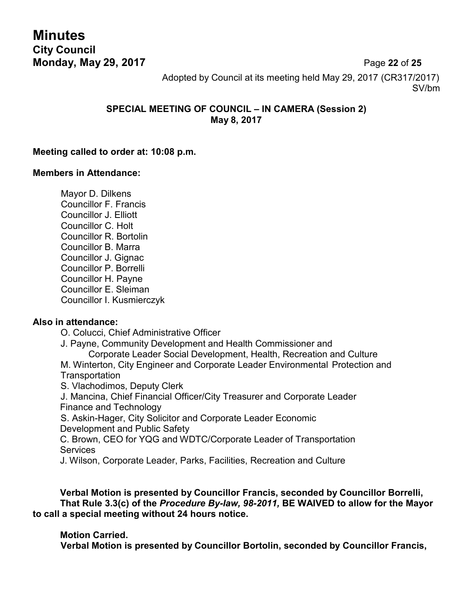**Minutes City Council Monday, May 29, 2017** Page **22** of **25**

Adopted by Council at its meeting held May 29, 2017 (CR317/2017) SV/bm

## **SPECIAL MEETING OF COUNCIL – IN CAMERA (Session 2) May 8, 2017**

#### **Meeting called to order at: 10:08 p.m.**

#### **Members in Attendance:**

Mayor D. Dilkens Councillor F. Francis Councillor J. Elliott Councillor C. Holt Councillor R. Bortolin Councillor B. Marra Councillor J. Gignac Councillor P. Borrelli Councillor H. Payne Councillor E. Sleiman Councillor I. Kusmierczyk

#### **Also in attendance:**

O. Colucci, Chief Administrative Officer

J. Payne, Community Development and Health Commissioner and

Corporate Leader Social Development, Health, Recreation and Culture

M. Winterton, City Engineer and Corporate Leader Environmental Protection and **Transportation** 

S. Vlachodimos, Deputy Clerk

J. Mancina, Chief Financial Officer/City Treasurer and Corporate Leader Finance and Technology

S. Askin-Hager, City Solicitor and Corporate Leader Economic Development and Public Safety

C. Brown, CEO for YQG and WDTC/Corporate Leader of Transportation **Services** 

J. Wilson, Corporate Leader, Parks, Facilities, Recreation and Culture

**Verbal Motion is presented by Councillor Francis, seconded by Councillor Borrelli, That Rule 3.3(c) of the** *Procedure By-law, 98-2011,* **BE WAIVED to allow for the Mayor to call a special meeting without 24 hours notice.**

#### **Motion Carried.**

**Verbal Motion is presented by Councillor Bortolin, seconded by Councillor Francis,**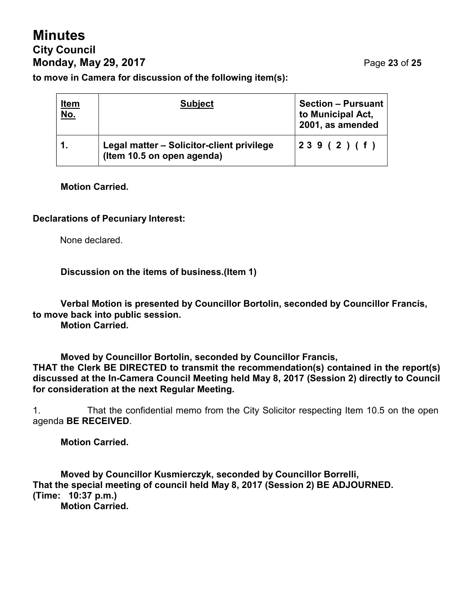# **Minutes City Council Monday, May 29, 2017** Page **23** of **25**

**to move in Camera for discussion of the following item(s):**

| <u>Item</u><br><u>No.</u> | <b>Subject</b>                                                          | <b>Section - Pursuant</b><br>to Municipal Act,<br>2001, as amended |
|---------------------------|-------------------------------------------------------------------------|--------------------------------------------------------------------|
|                           | Legal matter - Solicitor-client privilege<br>(Item 10.5 on open agenda) | 239(2)(f)                                                          |

#### **Motion Carried.**

#### **Declarations of Pecuniary Interest:**

None declared.

#### **Discussion on the items of business.(Item 1)**

**Verbal Motion is presented by Councillor Bortolin, seconded by Councillor Francis, to move back into public session. Motion Carried.**

**Moved by Councillor Bortolin, seconded by Councillor Francis, THAT the Clerk BE DIRECTED to transmit the recommendation(s) contained in the report(s) discussed at the In-Camera Council Meeting held May 8, 2017 (Session 2) directly to Council for consideration at the next Regular Meeting.**

1. That the confidential memo from the City Solicitor respecting Item 10.5 on the open agenda **BE RECEIVED**.

**Motion Carried.**

**Moved by Councillor Kusmierczyk, seconded by Councillor Borrelli, That the special meeting of council held May 8, 2017 (Session 2) BE ADJOURNED. (Time: 10:37 p.m.) Motion Carried.**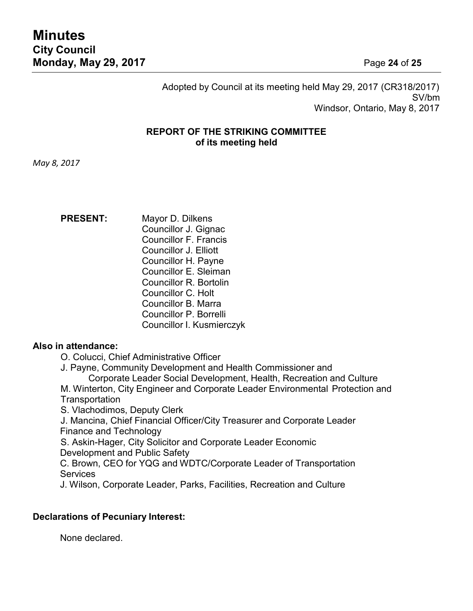Adopted by Council at its meeting held May 29, 2017 (CR318/2017) SV/bm Windsor, Ontario, May 8, 2017

#### **REPORT OF THE STRIKING COMMITTEE of its meeting held**

*May 8, 2017*

**PRESENT:** Mayor D. Dilkens Councillor J. Gignac Councillor F. Francis Councillor J. Elliott Councillor H. Payne Councillor E. Sleiman Councillor R. Bortolin Councillor C. Holt Councillor B. Marra Councillor P. Borrelli Councillor I. Kusmierczyk

#### **Also in attendance:**

O. Colucci, Chief Administrative Officer

J. Payne, Community Development and Health Commissioner and

Corporate Leader Social Development, Health, Recreation and Culture

M. Winterton, City Engineer and Corporate Leader Environmental Protection and **Transportation** 

S. Vlachodimos, Deputy Clerk

J. Mancina, Chief Financial Officer/City Treasurer and Corporate Leader Finance and Technology

S. Askin-Hager, City Solicitor and Corporate Leader Economic Development and Public Safety

C. Brown, CEO for YQG and WDTC/Corporate Leader of Transportation **Services** 

J. Wilson, Corporate Leader, Parks, Facilities, Recreation and Culture

#### **Declarations of Pecuniary Interest:**

None declared.